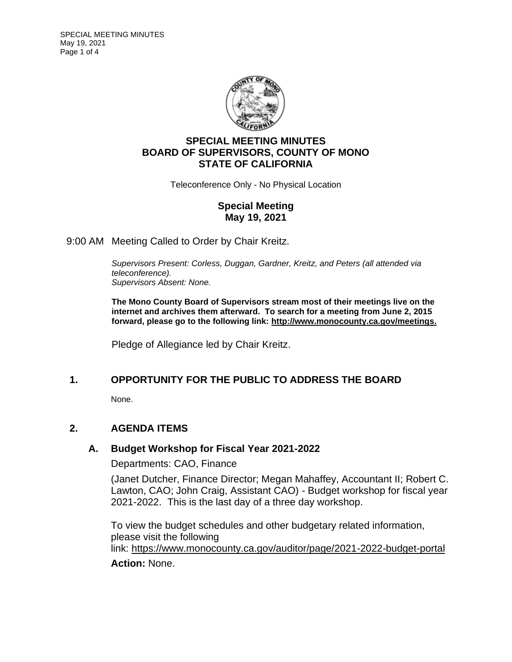

# **SPECIAL MEETING MINUTES BOARD OF SUPERVISORS, COUNTY OF MONO STATE OF CALIFORNIA**

Teleconference Only - No Physical Location

## **Special Meeting May 19, 2021**

9:00 AM Meeting Called to Order by Chair Kreitz.

*Supervisors Present: Corless, Duggan, Gardner, Kreitz, and Peters (all attended via teleconference). Supervisors Absent: None.*

**The Mono County Board of Supervisors stream most of their meetings live on the internet and archives them afterward. To search for a meeting from June 2, 2015 forward, please go to the following link: [http://www.monocounty.ca.gov/meetings.](http://www.monocounty.ca.gov/meetings)**

Pledge of Allegiance led by Chair Kreitz.

## **1. OPPORTUNITY FOR THE PUBLIC TO ADDRESS THE BOARD**

None.

## **2. AGENDA ITEMS**

## **A. [Budget Workshop for Fiscal Year 2021-2022](https://agenda.mono.ca.gov/AgendaWeb/CoverSheet.aspx?ItemID=13312&MeetingID=820)**

Departments: CAO, Finance

(Janet Dutcher, Finance Director; Megan Mahaffey, Accountant II; Robert C. Lawton, CAO; John Craig, Assistant CAO) - Budget workshop for fiscal year 2021-2022. This is the last day of a three day workshop.

To view the budget schedules and other budgetary related information, please visit the following link: <https://www.monocounty.ca.gov/auditor/page/2021-2022-budget-portal>

## **Action:** None.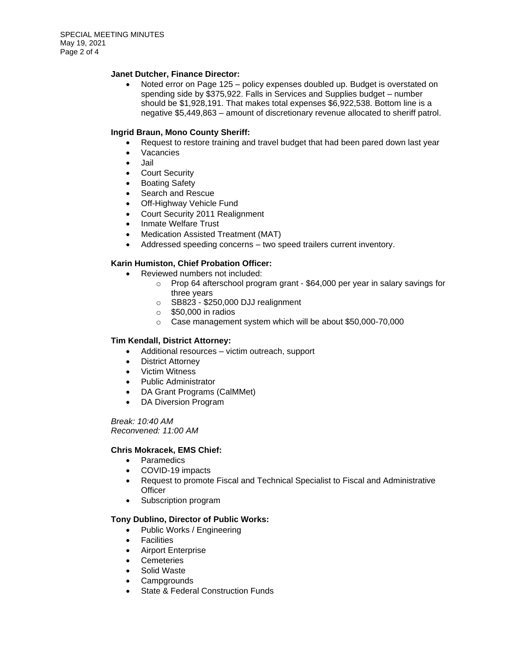### **Janet Dutcher, Finance Director:**

• Noted error on Page 125 – policy expenses doubled up. Budget is overstated on spending side by \$375,922. Falls in Services and Supplies budget – number should be \$1,928,191. That makes total expenses \$6,922,538. Bottom line is a negative \$5,449,863 – amount of discretionary revenue allocated to sheriff patrol.

### **Ingrid Braun, Mono County Sheriff:**

- Request to restore training and travel budget that had been pared down last year
- Vacancies
- Jail
- Court Security
- **Boating Safety**
- Search and Rescue
- Off-Highway Vehicle Fund
- Court Security 2011 Realignment
- Inmate Welfare Trust
- Medication Assisted Treatment (MAT)
- Addressed speeding concerns two speed trailers current inventory.

### **Karin Humiston, Chief Probation Officer:**

- Reviewed numbers not included:
	- o Prop 64 afterschool program grant \$64,000 per year in salary savings for three years
	- o SB823 \$250,000 DJJ realignment
	- $\circ$  \$50,000 in radios
	- o Case management system which will be about \$50,000-70,000

### **Tim Kendall, District Attorney:**

- Additional resources victim outreach, support
- District Attorney
- Victim Witness
- Public Administrator
- DA Grant Programs (CalMMet)
- DA Diversion Program

*Break: 10:40 AM Reconvened: 11:00 AM*

### **Chris Mokracek, EMS Chief:**

- Paramedics
- COVID-19 impacts
- Request to promote Fiscal and Technical Specialist to Fiscal and Administrative **Officer**
- Subscription program

### **Tony Dublino, Director of Public Works:**

- Public Works / Engineering
- Facilities
- Airport Enterprise
- Cemeteries
- Solid Waste
- **Campgrounds**
- State & Federal Construction Funds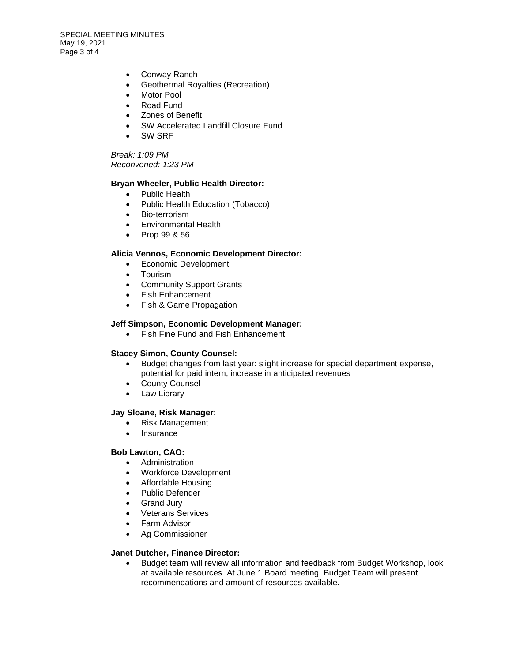SPECIAL MEETING MINUTES May 19, 2021 Page 3 of 4

- Conway Ranch
- Geothermal Royalties (Recreation)
- Motor Pool
- Road Fund
- Zones of Benefit
- SW Accelerated Landfill Closure Fund
- SW SRF

*Break: 1:09 PM Reconvened: 1:23 PM*

### **Bryan Wheeler, Public Health Director:**

- Public Health
- Public Health Education (Tobacco)
- Bio-terrorism
- Environmental Health
- Prop 99 & 56

#### **Alicia Vennos, Economic Development Director:**

- Economic Development
- Tourism
- Community Support Grants
- Fish Enhancement
- Fish & Game Propagation

#### **Jeff Simpson, Economic Development Manager:**

• Fish Fine Fund and Fish Enhancement

### **Stacey Simon, County Counsel:**

- Budget changes from last year: slight increase for special department expense, potential for paid intern, increase in anticipated revenues
- County Counsel
- Law Library

#### **Jay Sloane, Risk Manager:**

- Risk Management
- Insurance

#### **Bob Lawton, CAO:**

- Administration
- Workforce Development
- Affordable Housing
- Public Defender
- Grand Jury
- Veterans Services
- Farm Advisor
- Ag Commissioner

#### **Janet Dutcher, Finance Director:**

• Budget team will review all information and feedback from Budget Workshop, look at available resources. At June 1 Board meeting, Budget Team will present recommendations and amount of resources available.